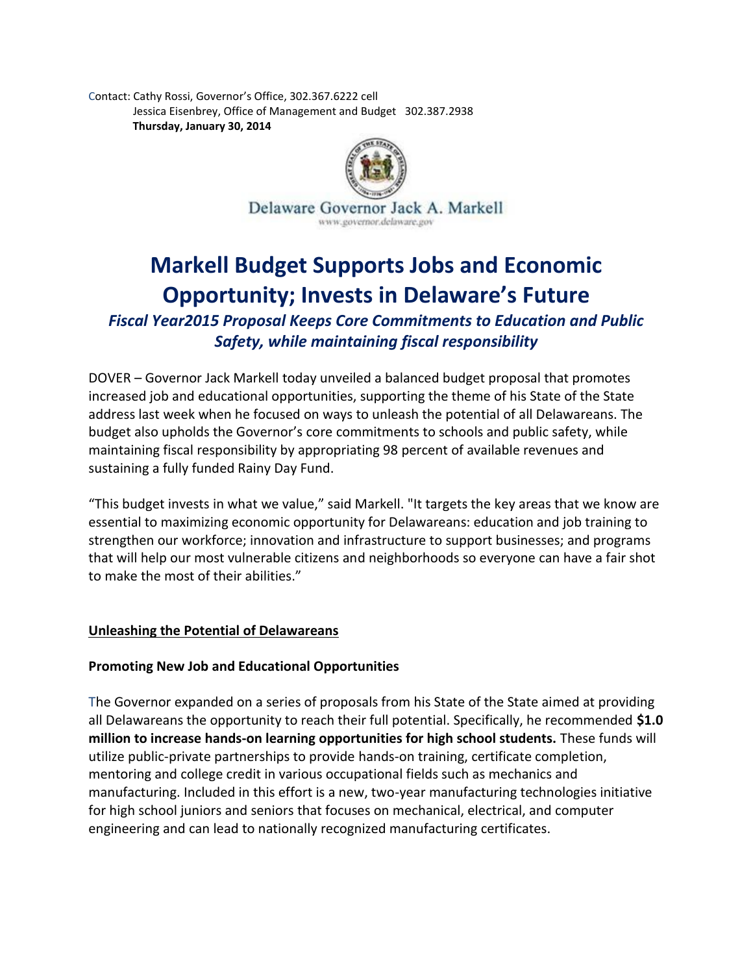Contact: Cathy Rossi, Governor's Office, 302.367.6222 cell Jessica Eisenbrey, Office of Management and Budget 302.387.2938 **Thursday, January 30, 2014**



# **Markell Budget Supports Jobs and Economic Opportunity; Invests in Delaware's Future**

*Fiscal Year2015 Proposal Keeps Core Commitments to Education and Public Safety, while maintaining fiscal responsibility*

DOVER – Governor Jack Markell today unveiled a balanced budget proposal that promotes increased job and educational opportunities, supporting the theme of his State of the State address last week when he focused on ways to unleash the potential of all Delawareans. The budget also upholds the Governor's core commitments to schools and public safety, while maintaining fiscal responsibility by appropriating 98 percent of available revenues and sustaining a fully funded Rainy Day Fund.

"This budget invests in what we value," said Markell. "It targets the key areas that we know are essential to maximizing economic opportunity for Delawareans: education and job training to strengthen our workforce; innovation and infrastructure to support businesses; and programs that will help our most vulnerable citizens and neighborhoods so everyone can have a fair shot to make the most of their abilities."

## **Unleashing the Potential of Delawareans**

## **Promoting New Job and Educational Opportunities**

The Governor expanded on a series of proposals from his State of the State aimed at providing all Delawareans the opportunity to reach their full potential. Specifically, he recommended **\$1.0 million to increase hands-on learning opportunities for high school students.** These funds will utilize public-private partnerships to provide hands-on training, certificate completion, mentoring and college credit in various occupational fields such as mechanics and manufacturing. Included in this effort is a new, two-year manufacturing technologies initiative for high school juniors and seniors that focuses on mechanical, electrical, and computer engineering and can lead to nationally recognized manufacturing certificates.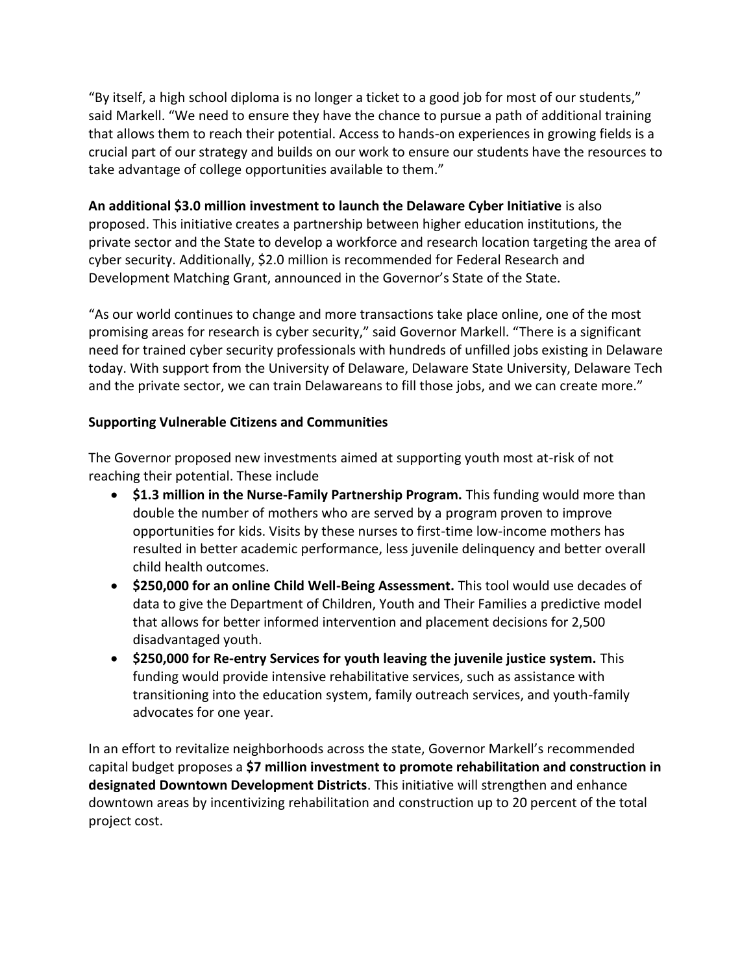"By itself, a high school diploma is no longer a ticket to a good job for most of our students," said Markell. "We need to ensure they have the chance to pursue a path of additional training that allows them to reach their potential. Access to hands-on experiences in growing fields is a crucial part of our strategy and builds on our work to ensure our students have the resources to take advantage of college opportunities available to them."

## **An additional \$3.0 million investment to launch the Delaware Cyber Initiative** is also proposed. This initiative creates a partnership between higher education institutions, the private sector and the State to develop a workforce and research location targeting the area of cyber security. Additionally, \$2.0 million is recommended for Federal Research and Development Matching Grant, announced in the Governor's State of the State.

"As our world continues to change and more transactions take place online, one of the most promising areas for research is cyber security," said Governor Markell. "There is a significant need for trained cyber security professionals with hundreds of unfilled jobs existing in Delaware today. With support from the University of Delaware, Delaware State University, Delaware Tech and the private sector, we can train Delawareans to fill those jobs, and we can create more."

## **Supporting Vulnerable Citizens and Communities**

The Governor proposed new investments aimed at supporting youth most at-risk of not reaching their potential. These include

- **\$1.3 million in the Nurse-Family Partnership Program.** This funding would more than double the number of mothers who are served by a program proven to improve opportunities for kids. Visits by these nurses to first-time low-income mothers has resulted in better academic performance, less juvenile delinquency and better overall child health outcomes.
- **\*** \$250,000 for an online Child Well-Being Assessment. This tool would use decades of data to give the Department of Children, Youth and Their Families a predictive model that allows for better informed intervention and placement decisions for 2,500 disadvantaged youth.
- **\$250,000 for Re-entry Services for youth leaving the juvenile justice system.** This funding would provide intensive rehabilitative services, such as assistance with transitioning into the education system, family outreach services, and youth-family advocates for one year.

In an effort to revitalize neighborhoods across the state, Governor Markell's recommended capital budget proposes a **\$7 million investment to promote rehabilitation and construction in designated Downtown Development Districts**. This initiative will strengthen and enhance downtown areas by incentivizing rehabilitation and construction up to 20 percent of the total project cost.